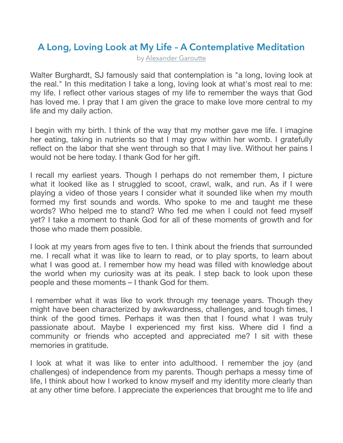## **[A Long, Loving Look at My Life – A Contemplative](http://godinallthings.com/2017/07/24/a-long-loving-look-at-my-life-a-contemplative-meditation/) Meditation**

by [Alexander Garoutte](http://godinallthings.com/author/agaroutte/)

Walter Burghardt, SJ famously said that contemplation is "a long, loving look at the real." In this meditation I take a long, loving look at what's most real to me: my life. I reflect other various stages of my life to remember the ways that God has loved me. I pray that I am given the grace to make love more central to my life and my daily action.

I begin with my birth. I think of the way that my mother gave me life. I imagine her eating, taking in nutrients so that I may grow within her womb. I gratefully reflect on the labor that she went through so that I may live. Without her pains I would not be here today. I thank God for her gift.

I recall my earliest years. Though I perhaps do not remember them, I picture what it looked like as I struggled to scoot, crawl, walk, and run. As if I were playing a video of those years I consider what it sounded like when my mouth formed my first sounds and words. Who spoke to me and taught me these words? Who helped me to stand? Who fed me when I could not feed myself yet? I take a moment to thank God for all of these moments of growth and for those who made them possible.

I look at my years from ages five to ten. I think about the friends that surrounded me. I recall what it was like to learn to read, or to play sports, to learn about what I was good at. I remember how my head was filled with knowledge about the world when my curiosity was at its peak. I step back to look upon these people and these moments – I thank God for them.

I remember what it was like to work through my teenage years. Though they might have been characterized by awkwardness, challenges, and tough times, I think of the good times. Perhaps it was then that I found what I was truly passionate about. Maybe I experienced my first kiss. Where did I find a community or friends who accepted and appreciated me? I sit with these memories in gratitude.

I look at what it was like to enter into adulthood. I remember the joy (and challenges) of independence from my parents. Though perhaps a messy time of life, I think about how I worked to know myself and my identity more clearly than at any other time before. I appreciate the experiences that brought me to life and